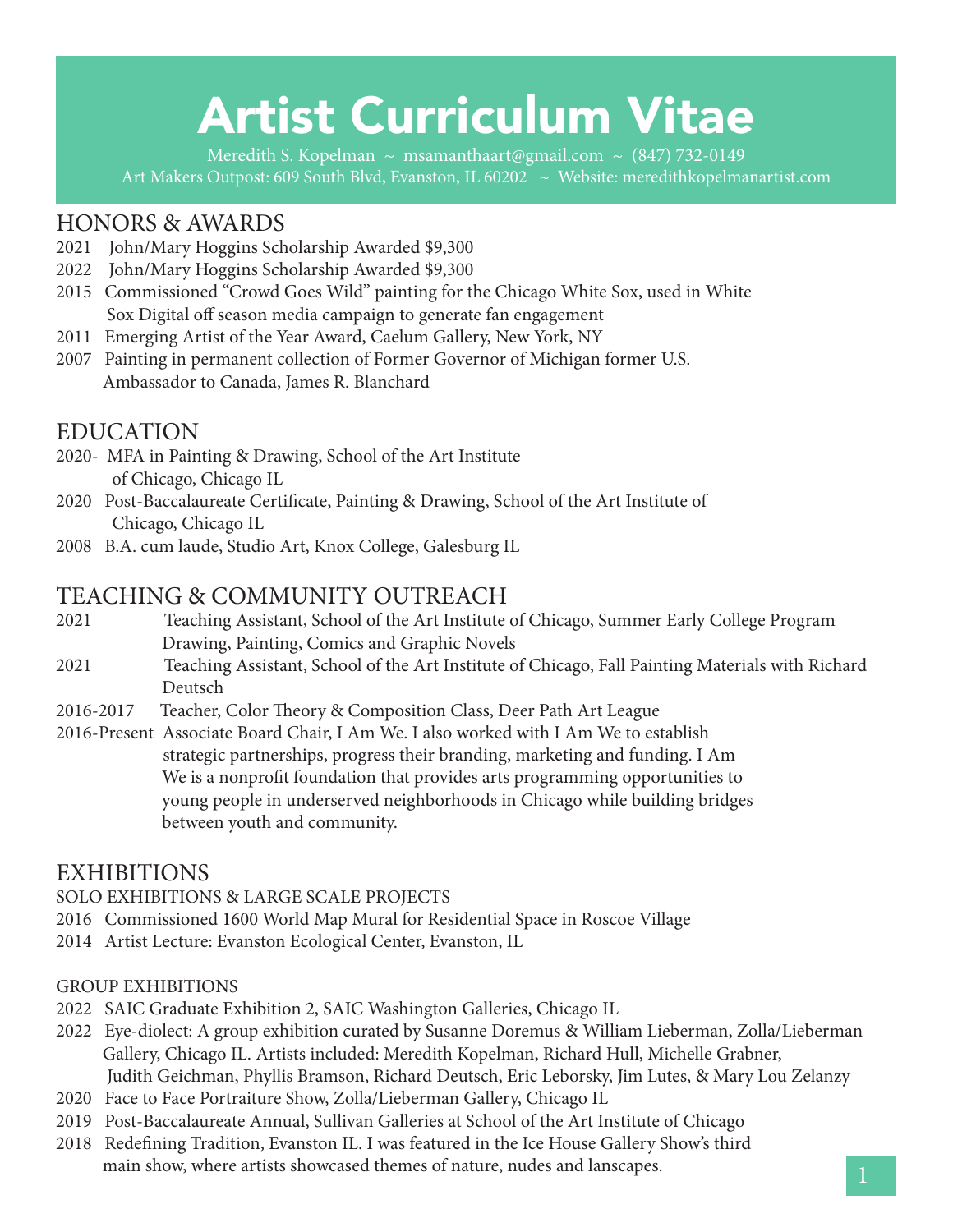# Artist Curriculum Vitae

Meredith S. Kopelman ~ msamanthaart@gmail.com ~ (847) 732-0149 Art Makers Outpost: 609 South Blvd, Evanston, IL 60202 ~ Website: meredithkopelmanartist.com

# HONORS & AWARDS

- 2021 John/Mary Hoggins Scholarship Awarded \$9,300
- 2022 John/Mary Hoggins Scholarship Awarded \$9,300
- 2015 Commissioned "Crowd Goes Wild" painting for the Chicago White Sox, used in White Sox Digital off season media campaign to generate fan engagement
- 2011 Emerging Artist of the Year Award, Caelum Gallery, New York, NY
- 2007 Painting in permanent collection of Former Governor of Michigan former U.S. Ambassador to Canada, James R. Blanchard

### EDUCATION

- 2020- MFA in Painting & Drawing, School of the Art Institute of Chicago, Chicago IL
- 2020 Post-Baccalaureate Certificate, Painting & Drawing, School of the Art Institute of Chicago, Chicago IL
- 2008 B.A. cum laude, Studio Art, Knox College, Galesburg IL

# TEACHING & COMMUNITY OUTREACH

- 2021 Teaching Assistant, School of the Art Institute of Chicago, Summer Early College Program Drawing, Painting, Comics and Graphic Novels
- 2021 Teaching Assistant, School of the Art Institute of Chicago, Fall Painting Materials with Richard Deutsch
- 2016-2017 Teacher, Color Theory & Composition Class, Deer Path Art League
- 2016-Present Associate Board Chair, I Am We. I also worked with I Am We to establish strategic partnerships, progress their branding, marketing and funding. I Am We is a nonprofit foundation that provides arts programming opportunities to young people in underserved neighborhoods in Chicago while building bridges between youth and community.

### EXHIBITIONS

SOLO EXHIBITIONS & LARGE SCALE PROJECTS

- 2016 Commissioned 1600 World Map Mural for Residential Space in Roscoe Village
- 2014 Artist Lecture: Evanston Ecological Center, Evanston, IL

#### GROUP EXHIBITIONS

- 2022 SAIC Graduate Exhibition 2, SAIC Washington Galleries, Chicago IL
- 2022 Eye-diolect: A group exhibition curated by Susanne Doremus & William Lieberman, Zolla/Lieberman Gallery, Chicago IL. Artists included: Meredith Kopelman, Richard Hull, Michelle Grabner, Judith Geichman, Phyllis Bramson, Richard Deutsch, Eric Leborsky, Jim Lutes, & Mary Lou Zelanzy
- 2020 Face to Face Portraiture Show, Zolla/Lieberman Gallery, Chicago IL
- 2019 Post-Baccalaureate Annual, Sullivan Galleries at School of the Art Institute of Chicago
- 2018 Redefining Tradition, Evanston IL. I was featured in the Ice House Gallery Show's third main show, where artists showcased themes of nature, nudes and lanscapes.